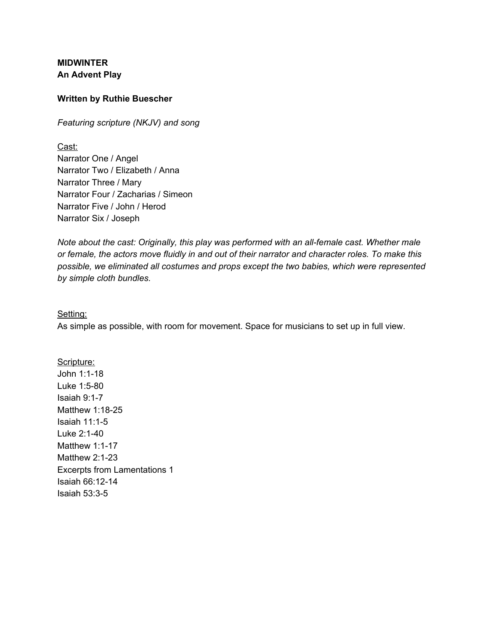**MIDWINTER An Advent Play**

#### **Written by Ruthie Buescher**

*Featuring scripture (NKJV) and song*

Cast: Narrator One / Angel Narrator Two / Elizabeth / Anna Narrator Three / Mary Narrator Four / Zacharias / Simeon Narrator Five / John / Herod Narrator Six / Joseph

*Note about the cast: Originally, this play was performed with an all-female cast. Whether male or female, the actors move fluidly in and out of their narrator and character roles. To make this possible, we eliminated all costumes and props except the two babies, which were represented by simple cloth bundles.*

Setting:

As simple as possible, with room for movement. Space for musicians to set up in full view.

Scripture: John 1:1-18 Luke 1:5-80 Isaiah 9:1-7 Matthew 1:18-25 Isaiah 11:1-5 Luke 2:1-40 Matthew 1:1-17 Matthew 2:1-23 Excerpts from Lamentations 1 Isaiah 66:12-14 Isaiah 53:3-5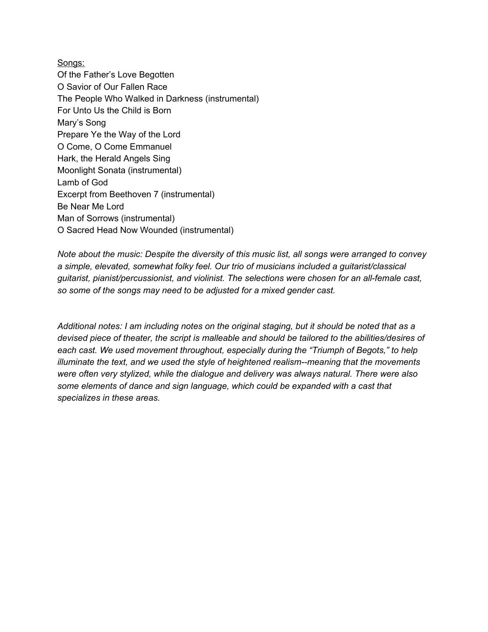Songs: Of the Father's Love Begotten O Savior of Our Fallen Race The People Who Walked in Darkness (instrumental) For Unto Us the Child is Born Mary's Song Prepare Ye the Way of the Lord O Come, O Come Emmanuel Hark, the Herald Angels Sing Moonlight Sonata (instrumental) Lamb of God Excerpt from Beethoven 7 (instrumental) Be Near Me Lord Man of Sorrows (instrumental) O Sacred Head Now Wounded (instrumental)

*Note about the music: Despite the diversity of this music list, all songs were arranged to convey a simple, elevated, somewhat folky feel. Our trio of musicians included a guitarist/classical guitarist, pianist/percussionist, and violinist. The selections were chosen for an all-female cast, so some of the songs may need to be adjusted for a mixed gender cast.*

*Additional notes: I am including notes on the original staging, but it should be noted that as a devised piece of theater, the script is malleable and should be tailored to the abilities/desires of each cast. We used movement throughout, especially during the "Triumph of Begots," to help illuminate the text, and we used the style of heightened realism--meaning that the movements were often very stylized, while the dialogue and delivery was always natural. There were also some elements of dance and sign language, which could be expanded with a cast that specializes in these areas.*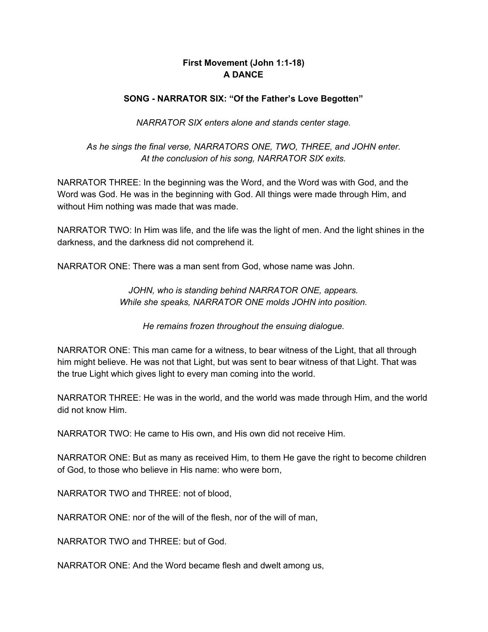# **First Movement (John 1:1-18) A DANCE**

## **SONG - NARRATOR SIX: "Of the Father's Love Begotten"**

*NARRATOR SIX enters alone and stands center stage.*

## *As he sings the final verse, NARRATORS ONE, TWO, THREE, and JOHN enter. At the conclusion of his song, NARRATOR SIX exits.*

NARRATOR THREE: In the beginning was the Word, and the Word was with God, and the Word was God. He was in the beginning with God. All things were made through Him, and without Him nothing was made that was made.

NARRATOR TWO: In Him was life, and the life was the light of men. And the light shines in the darkness, and the darkness did not comprehend it.

NARRATOR ONE: There was a man sent from God, whose name was John.

*JOHN, who is standing behind NARRATOR ONE, appears. While she speaks, NARRATOR ONE molds JOHN into position.*

*He remains frozen throughout the ensuing dialogue.*

NARRATOR ONE: This man came for a witness, to bear witness of the Light, that all through him might believe. He was not that Light, but was sent to bear witness of that Light. That was the true Light which gives light to every man coming into the world.

NARRATOR THREE: He was in the world, and the world was made through Him, and the world did not know Him.

NARRATOR TWO: He came to His own, and His own did not receive Him.

NARRATOR ONE: But as many as received Him, to them He gave the right to become children of God, to those who believe in His name: who were born,

NARRATOR TWO and THREE: not of blood,

NARRATOR ONE: nor of the will of the flesh, nor of the will of man,

NARRATOR TWO and THREE: but of God.

NARRATOR ONE: And the Word became flesh and dwelt among us,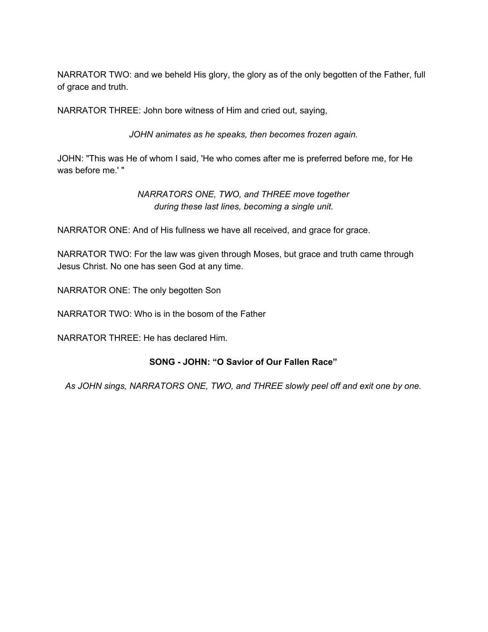NARRATOR TWO: and we beheld His glory, the glory as of the only begotten of the Father, full of grace and truth.

NARRATOR THREE: John bore witness of Him and cried out, saying,

*JOHN animates as he speaks, then becomes frozen again.*

JOHN: "This was He of whom I said, 'He who comes after me is preferred before me, for He was before me.' "

> *NARRATORS ONE, TWO, and THREE move together during these last lines, becoming a single unit.*

NARRATOR ONE: And of His fullness we have all received, and grace for grace.

NARRATOR TWO: For the law was given through Moses, but grace and truth came through Jesus Christ. No one has seen God at any time.

NARRATOR ONE: The only begotten Son

NARRATOR TWO: Who is in the bosom of the Father

NARRATOR THREE: He has declared Him.

## **SONG - JOHN: "O Savior of Our Fallen Race"**

*As JOHN sings, NARRATORS ONE, TWO, and THREE slowly peel off and exit one by one.*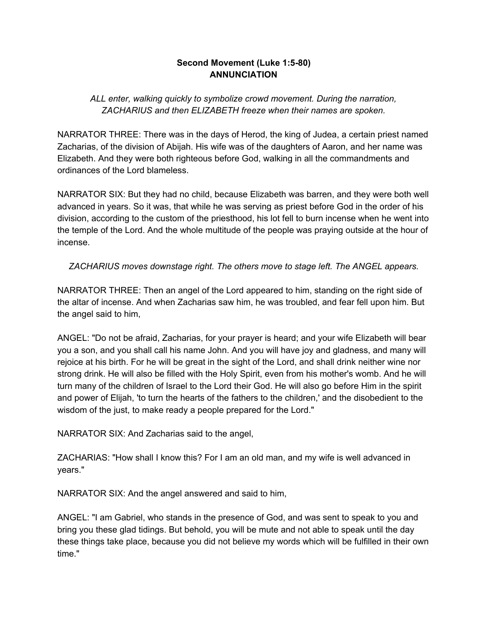## **Second Movement (Luke 1:5-80) ANNUNCIATION**

# *ALL enter, walking quickly to symbolize crowd movement. During the narration, ZACHARIUS and then ELIZABETH freeze when their names are spoken.*

NARRATOR THREE: There was in the days of Herod, the king of Judea, a certain priest named Zacharias, of the division of Abijah. His wife was of the daughters of Aaron, and her name was Elizabeth. And they were both righteous before God, walking in all the commandments and ordinances of the Lord blameless.

NARRATOR SIX: But they had no child, because Elizabeth was barren, and they were both well advanced in years. So it was, that while he was serving as priest before God in the order of his division, according to the custom of the priesthood, his lot fell to burn incense when he went into the temple of the Lord. And the whole multitude of the people was praying outside at the hour of incense.

# *ZACHARIUS moves downstage right. The others move to stage left. The ANGEL appears.*

NARRATOR THREE: Then an angel of the Lord appeared to him, standing on the right side of the altar of incense. And when Zacharias saw him, he was troubled, and fear fell upon him. But the angel said to him,

ANGEL: "Do not be afraid, Zacharias, for your prayer is heard; and your wife Elizabeth will bear you a son, and you shall call his name John. And you will have joy and gladness, and many will rejoice at his birth. For he will be great in the sight of the Lord, and shall drink neither wine nor strong drink. He will also be filled with the Holy Spirit, even from his mother's womb. And he will turn many of the children of Israel to the Lord their God. He will also go before Him in the spirit and power of Elijah, 'to turn the hearts of the fathers to the children,' and the disobedient to the wisdom of the just, to make ready a people prepared for the Lord."

NARRATOR SIX: And Zacharias said to the angel,

ZACHARIAS: "How shall I know this? For I am an old man, and my wife is well advanced in years."

NARRATOR SIX: And the angel answered and said to him,

ANGEL: "I am Gabriel, who stands in the presence of God, and was sent to speak to you and bring you these glad tidings. But behold, you will be mute and not able to speak until the day these things take place, because you did not believe my words which will be fulfilled in their own time."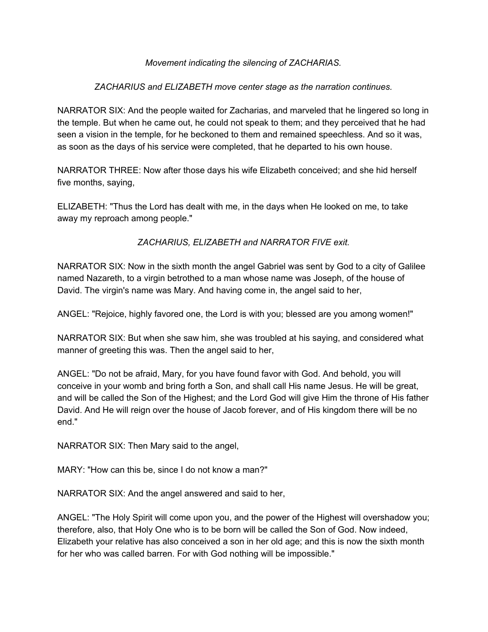## *Movement indicating the silencing of ZACHARIAS.*

## *ZACHARIUS and ELIZABETH move center stage as the narration continues.*

NARRATOR SIX: And the people waited for Zacharias, and marveled that he lingered so long in the temple. But when he came out, he could not speak to them; and they perceived that he had seen a vision in the temple, for he beckoned to them and remained speechless. And so it was, as soon as the days of his service were completed, that he departed to his own house.

NARRATOR THREE: Now after those days his wife Elizabeth conceived; and she hid herself five months, saying,

ELIZABETH: "Thus the Lord has dealt with me, in the days when He looked on me, to take away my reproach among people."

*ZACHARIUS, ELIZABETH and NARRATOR FIVE exit.*

NARRATOR SIX: Now in the sixth month the angel Gabriel was sent by God to a city of Galilee named Nazareth, to a virgin betrothed to a man whose name was Joseph, of the house of David. The virgin's name was Mary. And having come in, the angel said to her,

ANGEL: "Rejoice, highly favored one, the Lord is with you; blessed are you among women!"

NARRATOR SIX: But when she saw him, she was troubled at his saying, and considered what manner of greeting this was. Then the angel said to her,

ANGEL: "Do not be afraid, Mary, for you have found favor with God. And behold, you will conceive in your womb and bring forth a Son, and shall call His name Jesus. He will be great, and will be called the Son of the Highest; and the Lord God will give Him the throne of His father David. And He will reign over the house of Jacob forever, and of His kingdom there will be no end."

NARRATOR SIX: Then Mary said to the angel,

MARY: "How can this be, since I do not know a man?"

NARRATOR SIX: And the angel answered and said to her,

ANGEL: "The Holy Spirit will come upon you, and the power of the Highest will overshadow you; therefore, also, that Holy One who is to be born will be called the Son of God. Now indeed, Elizabeth your relative has also conceived a son in her old age; and this is now the sixth month for her who was called barren. For with God nothing will be impossible."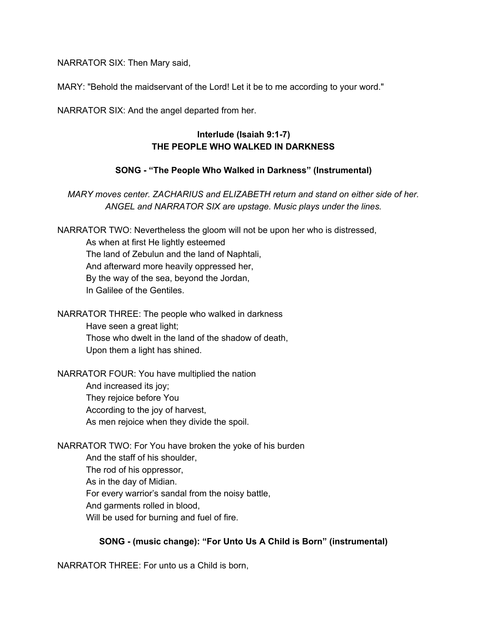NARRATOR SIX: Then Mary said,

MARY: "Behold the maidservant of the Lord! Let it be to me according to your word."

NARRATOR SIX: And the angel departed from her.

# **Interlude (Isaiah 9:1-7) THE PEOPLE WHO WALKED IN DARKNESS**

## **SONG - "The People Who Walked in Darkness" (Instrumental)**

*MARY moves center. ZACHARIUS and ELIZABETH return and stand on either side of her. ANGEL and NARRATOR SIX are upstage. Music plays under the lines.*

NARRATOR TWO: Nevertheless the gloom will not be upon her who is distressed,

As when at first He lightly esteemed The land of Zebulun and the land of Naphtali, And afterward more heavily oppressed her, By the way of the sea, beyond the Jordan, In Galilee of the Gentiles.

NARRATOR THREE: The people who walked in darkness Have seen a great light; Those who dwelt in the land of the shadow of death, Upon them a light has shined.

NARRATOR FOUR: You have multiplied the nation And increased its joy; They rejoice before You According to the joy of harvest, As men rejoice when they divide the spoil.

NARRATOR TWO: For You have broken the yoke of his burden And the staff of his shoulder, The rod of his oppressor, As in the day of Midian. For every warrior's sandal from the noisy battle, And garments rolled in blood, Will be used for burning and fuel of fire.

# **SONG - (music change): "For Unto Us A Child is Born" (instrumental)**

NARRATOR THREE: For unto us a Child is born,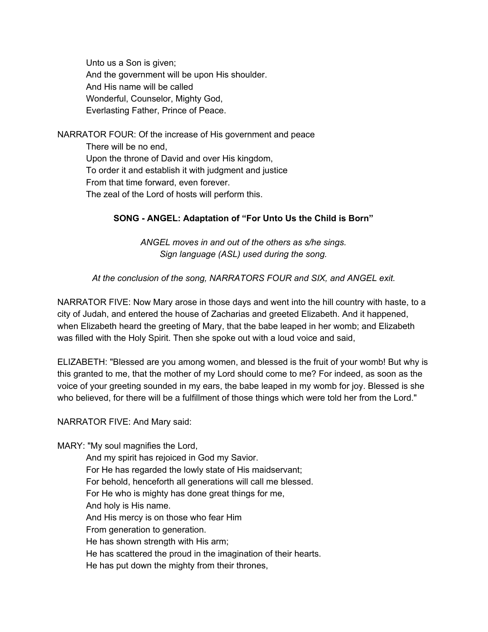Unto us a Son is given; And the government will be upon His shoulder. And His name will be called Wonderful, Counselor, Mighty God, Everlasting Father, Prince of Peace.

NARRATOR FOUR: Of the increase of His government and peace There will be no end, Upon the throne of David and over His kingdom, To order it and establish it with judgment and justice From that time forward, even forever. The zeal of the Lord of hosts will perform this.

## **SONG - ANGEL: Adaptation of "For Unto Us the Child is Born"**

*ANGEL moves in and out of the others as s/he sings. Sign language (ASL) used during the song.*

### *At the conclusion of the song, NARRATORS FOUR and SIX, and ANGEL exit.*

NARRATOR FIVE: Now Mary arose in those days and went into the hill country with haste, to a city of Judah, and entered the house of Zacharias and greeted Elizabeth. And it happened, when Elizabeth heard the greeting of Mary, that the babe leaped in her womb; and Elizabeth was filled with the Holy Spirit. Then she spoke out with a loud voice and said,

ELIZABETH: "Blessed are you among women, and blessed is the fruit of your womb! But why is this granted to me, that the mother of my Lord should come to me? For indeed, as soon as the voice of your greeting sounded in my ears, the babe leaped in my womb for joy. Blessed is she who believed, for there will be a fulfillment of those things which were told her from the Lord."

### NARRATOR FIVE: And Mary said:

MARY: "My soul magnifies the Lord,

And my spirit has rejoiced in God my Savior. For He has regarded the lowly state of His maidservant; For behold, henceforth all generations will call me blessed. For He who is mighty has done great things for me, And holy is His name. And His mercy is on those who fear Him From generation to generation. He has shown strength with His arm; He has scattered the proud in the imagination of their hearts. He has put down the mighty from their thrones,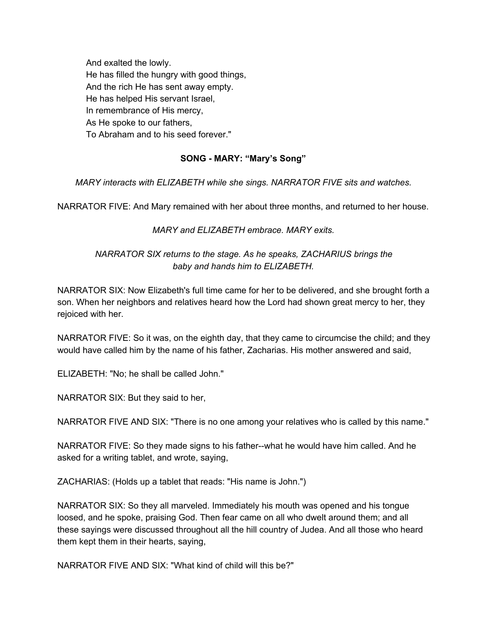And exalted the lowly. He has filled the hungry with good things, And the rich He has sent away empty. He has helped His servant Israel, In remembrance of His mercy, As He spoke to our fathers, To Abraham and to his seed forever."

# **SONG - MARY: "Mary's Song"**

*MARY interacts with ELIZABETH while she sings. NARRATOR FIVE sits and watches.*

NARRATOR FIVE: And Mary remained with her about three months, and returned to her house.

*MARY and ELIZABETH embrace. MARY exits.*

## *NARRATOR SIX returns to the stage. As he speaks, ZACHARIUS brings the baby and hands him to ELIZABETH.*

NARRATOR SIX: Now Elizabeth's full time came for her to be delivered, and she brought forth a son. When her neighbors and relatives heard how the Lord had shown great mercy to her, they rejoiced with her.

NARRATOR FIVE: So it was, on the eighth day, that they came to circumcise the child; and they would have called him by the name of his father, Zacharias. His mother answered and said,

ELIZABETH: "No; he shall be called John."

NARRATOR SIX: But they said to her,

NARRATOR FIVE AND SIX: "There is no one among your relatives who is called by this name."

NARRATOR FIVE: So they made signs to his father--what he would have him called. And he asked for a writing tablet, and wrote, saying,

ZACHARIAS: (Holds up a tablet that reads: "His name is John.")

NARRATOR SIX: So they all marveled. Immediately his mouth was opened and his tongue loosed, and he spoke, praising God. Then fear came on all who dwelt around them; and all these sayings were discussed throughout all the hill country of Judea. And all those who heard them kept them in their hearts, saying,

NARRATOR FIVE AND SIX: "What kind of child will this be?"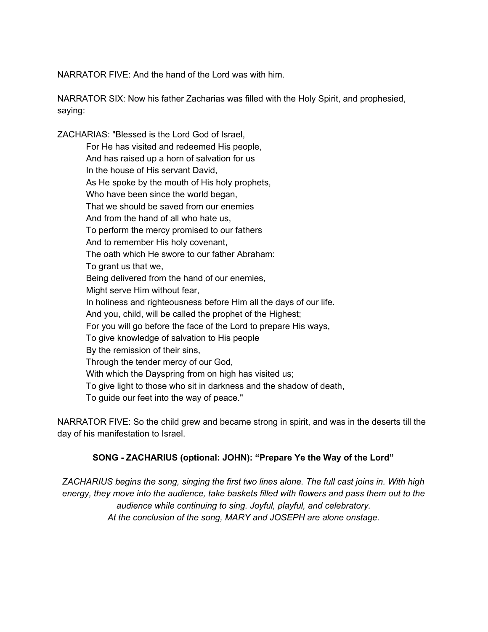NARRATOR FIVE: And the hand of the Lord was with him.

NARRATOR SIX: Now his father Zacharias was filled with the Holy Spirit, and prophesied, saying:

ZACHARIAS: "Blessed is the Lord God of Israel, For He has visited and redeemed His people, And has raised up a horn of salvation for us In the house of His servant David, As He spoke by the mouth of His holy prophets, Who have been since the world began. That we should be saved from our enemies And from the hand of all who hate us, To perform the mercy promised to our fathers And to remember His holy covenant, The oath which He swore to our father Abraham: To grant us that we, Being delivered from the hand of our enemies, Might serve Him without fear, In holiness and righteousness before Him all the days of our life. And you, child, will be called the prophet of the Highest; For you will go before the face of the Lord to prepare His ways, To give knowledge of salvation to His people By the remission of their sins, Through the tender mercy of our God, With which the Dayspring from on high has visited us; To give light to those who sit in darkness and the shadow of death, To guide our feet into the way of peace."

NARRATOR FIVE: So the child grew and became strong in spirit, and was in the deserts till the day of his manifestation to Israel.

## **SONG - ZACHARIUS (optional: JOHN): "Prepare Ye the Way of the Lord"**

*ZACHARIUS begins the song, singing the first two lines alone. The full cast joins in. With high energy, they move into the audience, take baskets filled with flowers and pass them out to the audience while continuing to sing. Joyful, playful, and celebratory. At the conclusion of the song, MARY and JOSEPH are alone onstage.*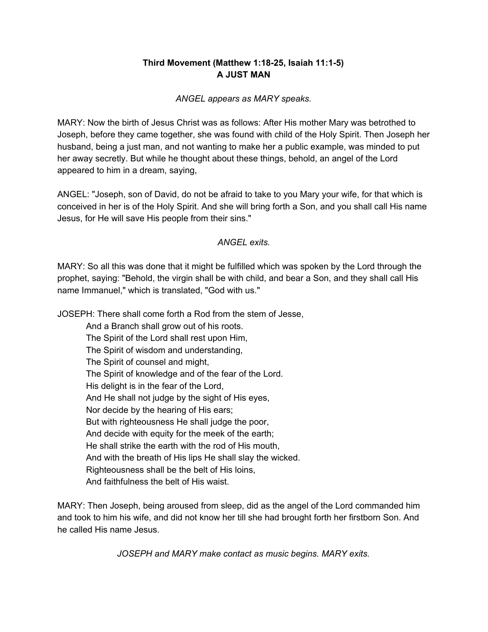# **Third Movement (Matthew 1:18-25, Isaiah 11:1-5) A JUST MAN**

### *ANGEL appears as MARY speaks.*

MARY: Now the birth of Jesus Christ was as follows: After His mother Mary was betrothed to Joseph, before they came together, she was found with child of the Holy Spirit. Then Joseph her husband, being a just man, and not wanting to make her a public example, was minded to put her away secretly. But while he thought about these things, behold, an angel of the Lord appeared to him in a dream, saying,

ANGEL: "Joseph, son of David, do not be afraid to take to you Mary your wife, for that which is conceived in her is of the Holy Spirit. And she will bring forth a Son, and you shall call His name Jesus, for He will save His people from their sins."

## *ANGEL exits.*

MARY: So all this was done that it might be fulfilled which was spoken by the Lord through the prophet, saying: "Behold, the virgin shall be with child, and bear a Son, and they shall call His name Immanuel," which is translated, "God with us."

JOSEPH: There shall come forth a Rod from the stem of Jesse,

And a Branch shall grow out of his roots. The Spirit of the Lord shall rest upon Him, The Spirit of wisdom and understanding, The Spirit of counsel and might, The Spirit of knowledge and of the fear of the Lord. His delight is in the fear of the Lord, And He shall not judge by the sight of His eyes, Nor decide by the hearing of His ears; But with righteousness He shall judge the poor, And decide with equity for the meek of the earth; He shall strike the earth with the rod of His mouth, And with the breath of His lips He shall slay the wicked. Righteousness shall be the belt of His loins, And faithfulness the belt of His waist.

MARY: Then Joseph, being aroused from sleep, did as the angel of the Lord commanded him and took to him his wife, and did not know her till she had brought forth her firstborn Son. And he called His name Jesus.

*JOSEPH and MARY make contact as music begins. MARY exits.*